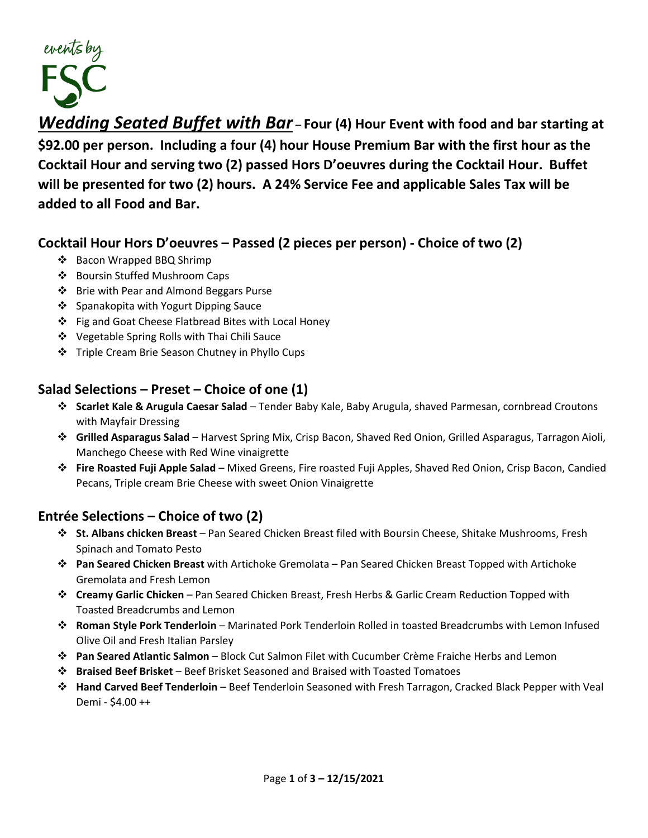

*Wedding Seated Buffet with Bar* – **Four (4) Hour Event with food and bar starting at \$92.00 per person. Including a four (4) hour House Premium Bar with the first hour as the Cocktail Hour and serving two (2) passed Hors D'oeuvres during the Cocktail Hour. Buffet will be presented for two (2) hours. A 24% Service Fee and applicable Sales Tax will be added to all Food and Bar.** 

### **Cocktail Hour Hors D'oeuvres – Passed (2 pieces per person) - Choice of two (2)**

- ❖ Bacon Wrapped BBQ Shrimp
- ❖ Boursin Stuffed Mushroom Caps
- ❖ Brie with Pear and Almond Beggars Purse
- ❖ Spanakopita with Yogurt Dipping Sauce
- ❖ Fig and Goat Cheese Flatbread Bites with Local Honey
- ❖ Vegetable Spring Rolls with Thai Chili Sauce
- ❖ Triple Cream Brie Season Chutney in Phyllo Cups

## **Salad Selections – Preset – Choice of one (1)**

- ❖ **Scarlet Kale & Arugula Caesar Salad** Tender Baby Kale, Baby Arugula, shaved Parmesan, cornbread Croutons with Mayfair Dressing
- ❖ **Grilled Asparagus Salad** Harvest Spring Mix, Crisp Bacon, Shaved Red Onion, Grilled Asparagus, Tarragon Aioli, Manchego Cheese with Red Wine vinaigrette
- ❖ **Fire Roasted Fuji Apple Salad** Mixed Greens, Fire roasted Fuji Apples, Shaved Red Onion, Crisp Bacon, Candied Pecans, Triple cream Brie Cheese with sweet Onion Vinaigrette

# **Entrée Selections – Choice of two (2)**

- ❖ **St. Albans chicken Breast** Pan Seared Chicken Breast filed with Boursin Cheese, Shitake Mushrooms, Fresh Spinach and Tomato Pesto
- ❖ **Pan Seared Chicken Breast** with Artichoke Gremolata Pan Seared Chicken Breast Topped with Artichoke Gremolata and Fresh Lemon
- ❖ **Creamy Garlic Chicken** Pan Seared Chicken Breast, Fresh Herbs & Garlic Cream Reduction Topped with Toasted Breadcrumbs and Lemon
- ❖ **Roman Style Pork Tenderloin** Marinated Pork Tenderloin Rolled in toasted Breadcrumbs with Lemon Infused Olive Oil and Fresh Italian Parsley
- ❖ **Pan Seared Atlantic Salmon** Block Cut Salmon Filet with Cucumber Crème Fraiche Herbs and Lemon
- ❖ **Braised Beef Brisket** Beef Brisket Seasoned and Braised with Toasted Tomatoes
- ❖ **Hand Carved Beef Tenderloin** Beef Tenderloin Seasoned with Fresh Tarragon, Cracked Black Pepper with Veal Demi - \$4.00 ++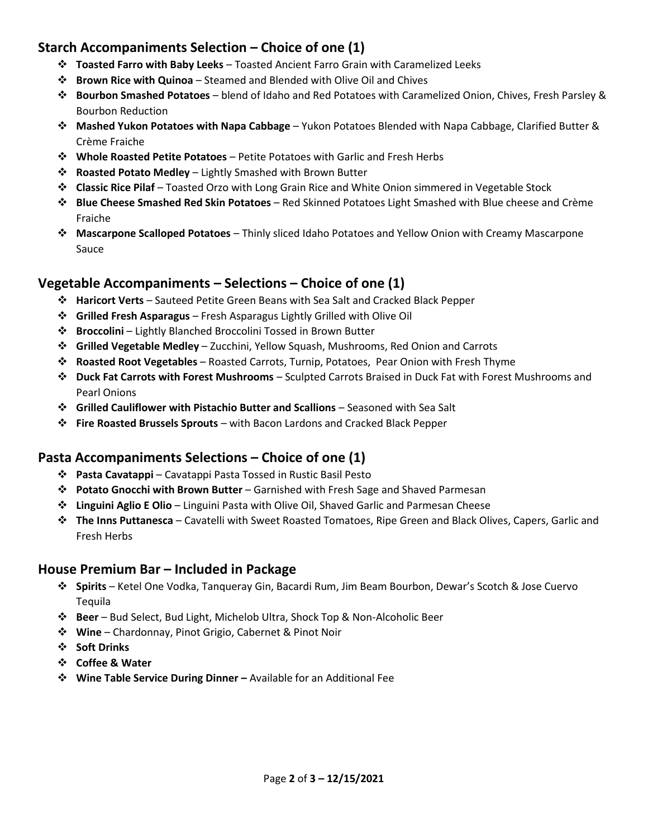# **Starch Accompaniments Selection – Choice of one (1)**

- ❖ **Toasted Farro with Baby Leeks** Toasted Ancient Farro Grain with Caramelized Leeks
- ❖ **Brown Rice with Quinoa** Steamed and Blended with Olive Oil and Chives
- ❖ **Bourbon Smashed Potatoes** blend of Idaho and Red Potatoes with Caramelized Onion, Chives, Fresh Parsley & Bourbon Reduction
- ❖ **Mashed Yukon Potatoes with Napa Cabbage** Yukon Potatoes Blended with Napa Cabbage, Clarified Butter & Crème Fraiche
- ❖ **Whole Roasted Petite Potatoes** Petite Potatoes with Garlic and Fresh Herbs
- ❖ **Roasted Potato Medley** Lightly Smashed with Brown Butter
- ❖ **Classic Rice Pilaf** Toasted Orzo with Long Grain Rice and White Onion simmered in Vegetable Stock
- ❖ **Blue Cheese Smashed Red Skin Potatoes** Red Skinned Potatoes Light Smashed with Blue cheese and Crème Fraiche
- ❖ **Mascarpone Scalloped Potatoes** Thinly sliced Idaho Potatoes and Yellow Onion with Creamy Mascarpone Sauce

## **Vegetable Accompaniments – Selections – Choice of one (1)**

- ❖ **Haricort Verts** Sauteed Petite Green Beans with Sea Salt and Cracked Black Pepper
- ❖ **Grilled Fresh Asparagus** Fresh Asparagus Lightly Grilled with Olive Oil
- ❖ **Broccolini** Lightly Blanched Broccolini Tossed in Brown Butter
- ❖ **Grilled Vegetable Medley** Zucchini, Yellow Squash, Mushrooms, Red Onion and Carrots
- ❖ **Roasted Root Vegetables** Roasted Carrots, Turnip, Potatoes, Pear Onion with Fresh Thyme
- ❖ **Duck Fat Carrots with Forest Mushrooms** Sculpted Carrots Braised in Duck Fat with Forest Mushrooms and Pearl Onions
- ❖ **Grilled Cauliflower with Pistachio Butter and Scallions** Seasoned with Sea Salt
- ❖ **Fire Roasted Brussels Sprouts** with Bacon Lardons and Cracked Black Pepper

## **Pasta Accompaniments Selections – Choice of one (1)**

- ❖ **Pasta Cavatappi** Cavatappi Pasta Tossed in Rustic Basil Pesto
- ❖ **Potato Gnocchi with Brown Butter** Garnished with Fresh Sage and Shaved Parmesan
- ❖ **Linguini Aglio E Olio** Linguini Pasta with Olive Oil, Shaved Garlic and Parmesan Cheese
- ❖ **The Inns Puttanesca** Cavatelli with Sweet Roasted Tomatoes, Ripe Green and Black Olives, Capers, Garlic and Fresh Herbs

#### **House Premium Bar – Included in Package**

- ❖ **Spirits** Ketel One Vodka, Tanqueray Gin, Bacardi Rum, Jim Beam Bourbon, Dewar's Scotch & Jose Cuervo Tequila
- ❖ **Beer** Bud Select, Bud Light, Michelob Ultra, Shock Top & Non-Alcoholic Beer
- ❖ **Wine** Chardonnay, Pinot Grigio, Cabernet & Pinot Noir
- ❖ **Soft Drinks**
- ❖ **Coffee & Water**
- ❖ **Wine Table Service During Dinner –** Available for an Additional Fee